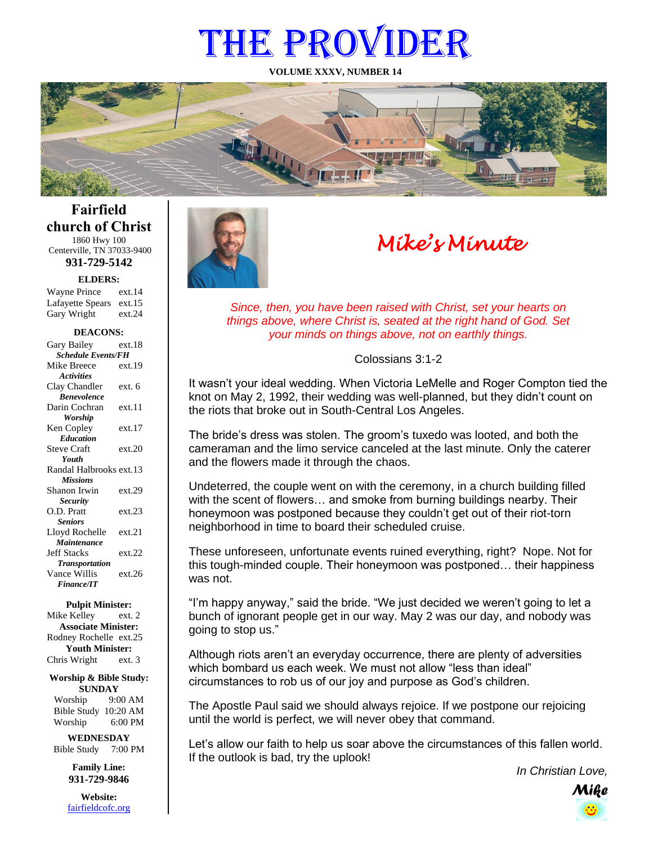# THE PROVIDER

**VOLUME XXXV, NUMBER 14**



**Fairfield church of Christ** 1860 Hwy 100

Centerville, TN 37033-9400 **931-729-5142**

**ELDERS:**

Gary Wright ext.24 Wayne Prince ext.14 Lafayette Spears ext.15

#### **DEACONS:**

| Gary Bailey               | ext.18 |
|---------------------------|--------|
| <b>Schedule Events/FH</b> |        |
| Mike Breece               | ext.19 |
| <b>Activities</b>         |        |
| Clay Chandler             | ext. 6 |
| <b>Benevolence</b>        |        |
| Darin Cochran             | ext.11 |
| Worship                   |        |
| Ken Copley                | ext.17 |
| <b>Education</b>          |        |
| <b>Steve Craft</b>        | ext.20 |
| Youth                     |        |
| Randal Halbrooks ext.13   |        |
| <b>Missions</b>           |        |
| Shanon Irwin              | ext.29 |
| <b>Security</b>           |        |
| O.D. Pratt                | ext.23 |
| <b>Seniors</b>            |        |
| Lloyd Rochelle            | ext.21 |
| Maintenance               |        |
| <b>Jeff Stacks</b>        | ext.22 |
| <b>Transportation</b>     |        |
| Vance Willis              | ext.26 |
| <b>Finance/IT</b>         |        |

#### **Pulpit Minister:**

Mike Kelley ext. 2 **Associate Minister:** Rodney Rochelle ext.25 **Youth Minister:** Chris Wright ext. 3

**Worship & Bible Study: SUNDAY**

Worship 9:00 AM Bible Study 10:20 AM Worship 6:00 PM

**WEDNESDAY** Bible Study 7:00 PM

> **Family Line: 931-729-9846**

**Website:** [fairfieldcofc.org](file:///C:/Users/RickJoyce/Documents/Fairfield%20Website%20Files/fairfieldchurchofchrist.org)



# *Mike's Minute*

*Since, then, you have been raised with Christ, set your hearts on things above, where Christ is, seated at the right hand of God. Set your minds on things above, not on earthly things.*

#### Colossians 3:1-2

It wasn't your ideal wedding. When Victoria LeMelle and Roger Compton tied the knot on May 2, 1992, their wedding was well-planned, but they didn't count on the riots that broke out in South-Central Los Angeles.

The bride's dress was stolen. The groom's tuxedo was looted, and both the cameraman and the limo service canceled at the last minute. Only the caterer and the flowers made it through the chaos.

Undeterred, the couple went on with the ceremony, in a church building filled with the scent of flowers… and smoke from burning buildings nearby. Their honeymoon was postponed because they couldn't get out of their riot-torn neighborhood in time to board their scheduled cruise.

These unforeseen, unfortunate events ruined everything, right? Nope. Not for this tough-minded couple. Their honeymoon was postponed… their happiness was not.

"I'm happy anyway," said the bride. "We just decided we weren't going to let a bunch of ignorant people get in our way. May 2 was our day, and nobody was going to stop us."

Although riots aren't an everyday occurrence, there are plenty of adversities which bombard us each week. We must not allow "less than ideal" circumstances to rob us of our joy and purpose as God's children.

The Apostle Paul said we should always rejoice. If we postpone our rejoicing until the world is perfect, we will never obey that command.

Let's allow our faith to help us soar above the circumstances of this fallen world. If the outlook is bad, try the uplook!

*In Christian Love,*

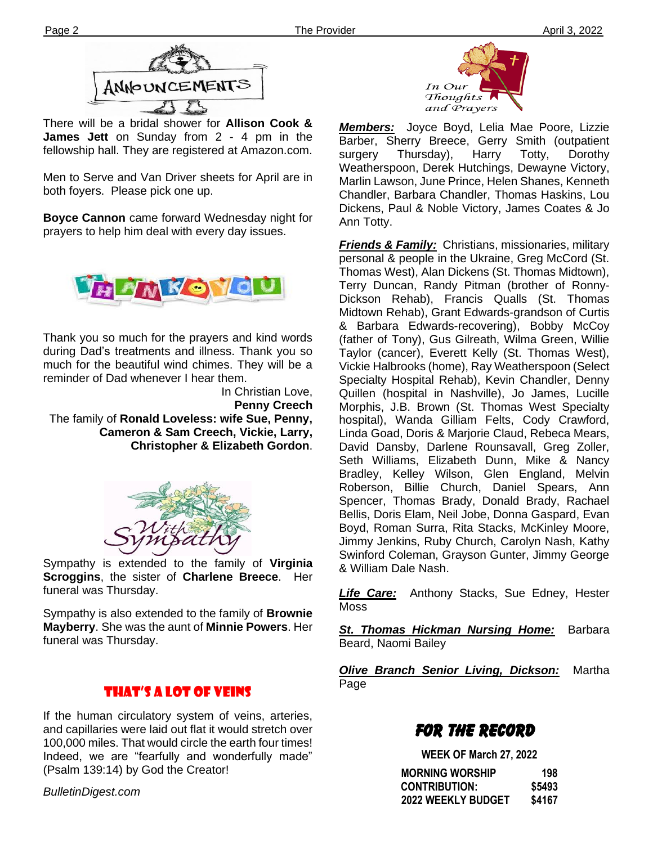

There will be a bridal shower for **Allison Cook & James Jett** on Sunday from 2 - 4 pm in the fellowship hall. They are registered at Amazon.com.

Men to Serve and Van Driver sheets for April are in both foyers. Please pick one up.

**Boyce Cannon** came forward Wednesday night for prayers to help him deal with every day issues.



Thank you so much for the prayers and kind words during Dad's treatments and illness. Thank you so much for the beautiful wind chimes. They will be a reminder of Dad whenever I hear them.

> In Christian Love, **Penny Creech**

The family of **Ronald Loveless: wife Sue, Penny, Cameron & Sam Creech, Vickie, Larry, Christopher & Elizabeth Gordon**.



Sympathy is extended to the family of **Virginia Scroggins**, the sister of **Charlene Breece**. Her funeral was Thursday.

**filem** Sympathy is also extended to the family of **Brownie Mayberry**. She was the aunt of **Minnie Powers**. Her funeral was Thursday.

# That's a Lot of Veins

If the human circulatory system of veins, arteries, and capillaries were laid out flat it would stretch over 100,000 miles. That would circle the earth four times! Indeed, we are "fearfully and wonderfully made" (Psalm 139:14) by God the Creator!

*BulletinDigest.com*



*Members:* Joyce Boyd, Lelia Mae Poore, Lizzie Barber, Sherry Breece, Gerry Smith (outpatient surgery Thursday), Harry Totty, Dorothy Weatherspoon, Derek Hutchings, Dewayne Victory, Marlin Lawson, June Prince, Helen Shanes, Kenneth Chandler, Barbara Chandler, Thomas Haskins, Lou Dickens, Paul & Noble Victory, James Coates & Jo Ann Totty.

*Friends & Family:* Christians, missionaries, military personal & people in the Ukraine, Greg McCord (St. Thomas West), Alan Dickens (St. Thomas Midtown), Terry Duncan, Randy Pitman (brother of Ronny-Dickson Rehab), Francis Qualls (St. Thomas Midtown Rehab), Grant Edwards-grandson of Curtis & Barbara Edwards-recovering), Bobby McCoy (father of Tony), Gus Gilreath, Wilma Green, Willie Taylor (cancer), Everett Kelly (St. Thomas West), Vickie Halbrooks (home), Ray Weatherspoon (Select Specialty Hospital Rehab), Kevin Chandler, Denny Quillen (hospital in Nashville), Jo James, Lucille Morphis, J.B. Brown (St. Thomas West Specialty hospital), Wanda Gilliam Felts, Cody Crawford, Linda Goad, Doris & Marjorie Claud, Rebeca Mears, David Dansby, Darlene Rounsavall, Greg Zoller, Seth Williams, Elizabeth Dunn, Mike & Nancy Bradley, Kelley Wilson, Glen England, Melvin Roberson, Billie Church, Daniel Spears, Ann Spencer, Thomas Brady, Donald Brady, Rachael Bellis, Doris Elam, Neil Jobe, Donna Gaspard, Evan Boyd, Roman Surra, Rita Stacks, McKinley Moore, Jimmy Jenkins, Ruby Church, Carolyn Nash, Kathy Swinford Coleman, Grayson Gunter, Jimmy George & William Dale Nash.

*Life Care:* Anthony Stacks, Sue Edney, Hester **Moss** 

*St. Thomas Hickman Nursing Home:* Barbara Beard, Naomi Bailey

*Olive Branch Senior Living, Dickson:* Martha Page

# FOR THE RECORD

 **WEEK OF March 27, 2022 MORNING WORSHIP 198 CONTRIBUTION: \$5493 2022 WEEKLY BUDGET \$4167**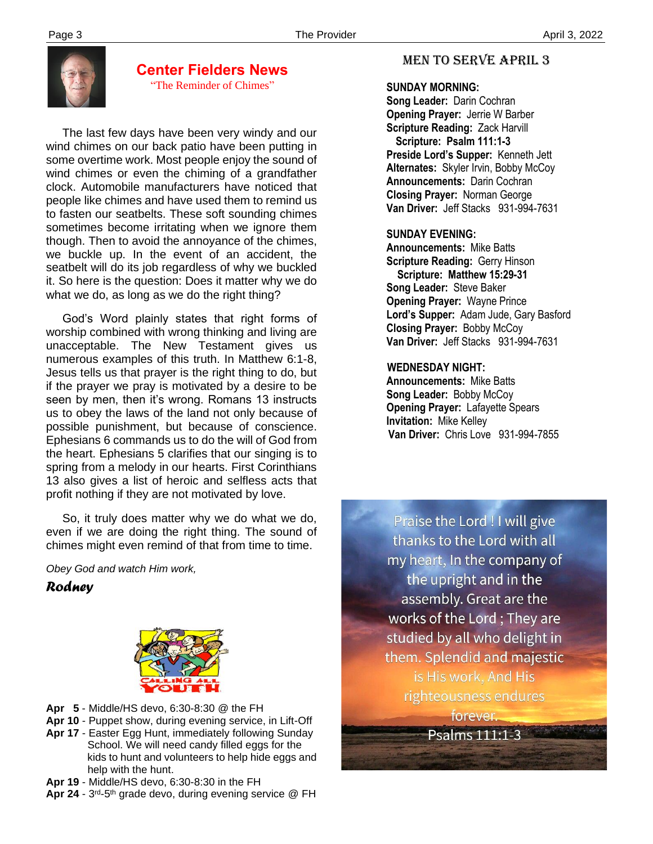

#### **Center Fielders News** "The Reminder of Chimes"

 The last few days have been very windy and our wind chimes on our back patio have been putting in some overtime work. Most people enjoy the sound of wind chimes or even the chiming of a grandfather clock. Automobile manufacturers have noticed that people like chimes and have used them to remind us to fasten our seatbelts. These soft sounding chimes sometimes become irritating when we ignore them though. Then to avoid the annoyance of the chimes, we buckle up. In the event of an accident, the seatbelt will do its job regardless of why we buckled it. So here is the question: Does it matter why we do what we do, as long as we do the right thing?

 God's Word plainly states that right forms of worship combined with wrong thinking and living are unacceptable. The New Testament gives us numerous examples of this truth. In Matthew 6:1-8, Jesus tells us that prayer is the right thing to do, but if the prayer we pray is motivated by a desire to be seen by men, then it's wrong. Romans 13 instructs us to obey the laws of the land not only because of possible punishment, but because of conscience. Ephesians 6 commands us to do the will of God from the heart. Ephesians 5 clarifies that our singing is to spring from a melody in our hearts. First Corinthians 13 also gives a list of heroic and selfless acts that profit nothing if they are not motivated by love.

 So, it truly does matter why we do what we do, even if we are doing the right thing. The sound of chimes might even remind of that from time to time.

*Obey God and watch Him work,*

# *Rodney*



- **Apr 5**  Middle/HS devo, 6:30-8:30 @ the FH
- **Apr 10** Puppet show, during evening service, in Lift-Off
- **Apr 17** Easter Egg Hunt, immediately following Sunday School. We will need candy filled eggs for the kids to hunt and volunteers to help hide eggs and help with the hunt.
- **Apr 19**  Middle/HS devo, 6:30-8:30 in the FH
- Apr 24 3<sup>rd</sup>-5<sup>th</sup> grade devo, during evening service @ FH

# MEN TO SERVE April 3

## **SUNDAY MORNING:**

**Song Leader:** Darin Cochran  **Opening Prayer:** Jerrie W Barber **Scripture Reading:** Zack Harvill  **Scripture: Psalm 111:1-3 Preside Lord's Supper:** Kenneth Jett  **Alternates:** Skyler Irvin, Bobby McCoy  **Announcements:** Darin Cochran  **Closing Prayer:** Norman George **Van Driver:** Jeff Stacks 931-994-7631

# **SUNDAY EVENING:**

**Announcements:** Mike Batts **Scripture Reading:** Gerry Hinson  **Scripture: Matthew 15:29-31 Song Leader:** Steve Baker **Opening Prayer:** Wayne Prince **Lord's Supper:** Adam Jude, Gary Basford **Closing Prayer:** Bobby McCoy **Van Driver:** Jeff Stacks 931-994-7631

# **WEDNESDAY NIGHT:**

**Announcements:** Mike Batts **Song Leader:** Bobby McCoy **Opening Prayer:** Lafayette Spears **Invitation:** Mike Kelley  **Van Driver:** Chris Love 931-994-7855

Praise the Lord ! I will give thanks to the Lord with all my heart, In the company of the upright and in the assembly. Great are the works of the Lord; They are studied by all who delight in them. Splendid and majestic is His work, And His righteousness endures forever.

٠,

Psalms 111:1-3